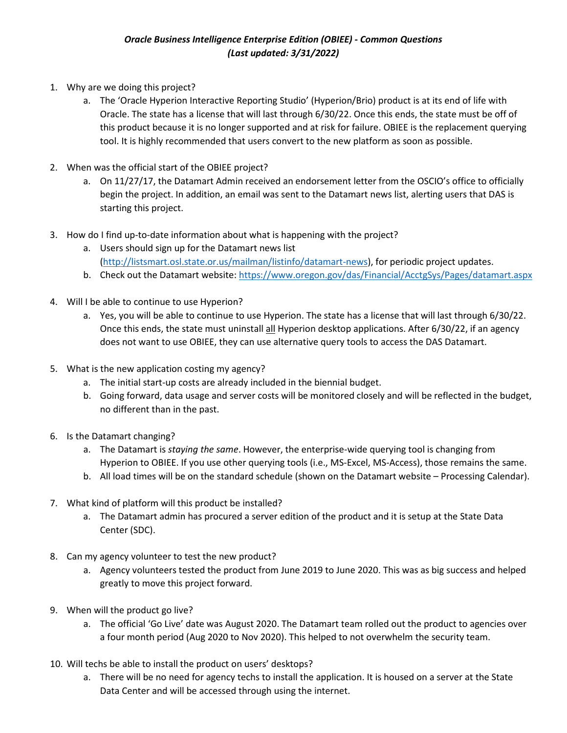## *Oracle Business Intelligence Enterprise Edition (OBIEE) - Common Questions (Last updated: 3/31/2022)*

- 1. Why are we doing this project?
	- a. The 'Oracle Hyperion Interactive Reporting Studio' (Hyperion/Brio) product is at its end of life with Oracle. The state has a license that will last through 6/30/22. Once this ends, the state must be off of this product because it is no longer supported and at risk for failure. OBIEE is the replacement querying tool. It is highly recommended that users convert to the new platform as soon as possible.
- 2. When was the official start of the OBIEE project?
	- a. On 11/27/17, the Datamart Admin received an endorsement letter from the OSCIO's office to officially begin the project. In addition, an email was sent to the Datamart news list, alerting users that DAS is starting this project.
- 3. How do I find up-to-date information about what is happening with the project?
	- a. Users should sign up for the Datamart news list [\(http://listsmart.osl.state.or.us/mailman/listinfo/datamart-news\)](http://listsmart.osl.state.or.us/mailman/listinfo/datamart-news), for periodic project updates.
	- b. Check out the Datamart website:<https://www.oregon.gov/das/Financial/AcctgSys/Pages/datamart.aspx>
- 4. Will I be able to continue to use Hyperion?
	- a. Yes, you will be able to continue to use Hyperion. The state has a license that will last through 6/30/22. Once this ends, the state must uninstall all Hyperion desktop applications. After 6/30/22, if an agency does not want to use OBIEE, they can use alternative query tools to access the DAS Datamart.
- 5. What is the new application costing my agency?
	- a. The initial start-up costs are already included in the biennial budget.
	- b. Going forward, data usage and server costs will be monitored closely and will be reflected in the budget, no different than in the past.
- 6. Is the Datamart changing?
	- a. The Datamart is *staying the same*. However, the enterprise-wide querying tool is changing from Hyperion to OBIEE. If you use other querying tools (i.e., MS-Excel, MS-Access), those remains the same.
	- b. All load times will be on the standard schedule (shown on the Datamart website Processing Calendar).
- 7. What kind of platform will this product be installed?
	- a. The Datamart admin has procured a server edition of the product and it is setup at the State Data Center (SDC).
- 8. Can my agency volunteer to test the new product?
	- a. Agency volunteers tested the product from June 2019 to June 2020. This was as big success and helped greatly to move this project forward.
- 9. When will the product go live?
	- a. The official 'Go Live' date was August 2020. The Datamart team rolled out the product to agencies over a four month period (Aug 2020 to Nov 2020). This helped to not overwhelm the security team.
- 10. Will techs be able to install the product on users' desktops?
	- a. There will be no need for agency techs to install the application. It is housed on a server at the State Data Center and will be accessed through using the internet.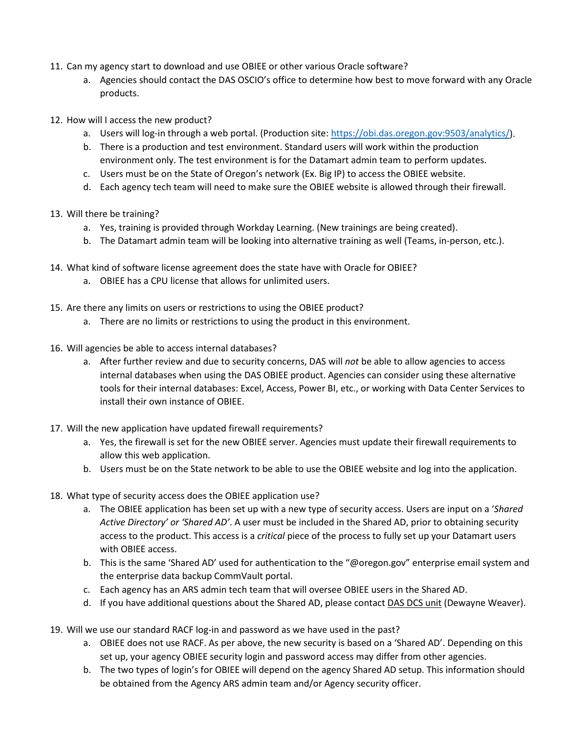- 11. Can my agency start to download and use OBIEE or other various Oracle software?
	- a. Agencies should contact the DAS OSCIO's office to determine how best to move forward with any Oracle products.
- 12. How will I access the new product?
	- a. Users will log-in through a web portal. (Production site[: https://obi.das.oregon.gov:9503/analytics/\)](https://obi.das.oregon.gov:9503/analytics/).
	- b. There is a production and test environment. Standard users will work within the production environment only. The test environment is for the Datamart admin team to perform updates.
	- c. Users must be on the State of Oregon's network (Ex. Big IP) to access the OBIEE website.
	- d. Each agency tech team will need to make sure the OBIEE website is allowed through their firewall.
- 13. Will there be training?
	- a. Yes, training is provided through Workday Learning. (New trainings are being created).
	- b. The Datamart admin team will be looking into alternative training as well (Teams, in-person, etc.).
- 14. What kind of software license agreement does the state have with Oracle for OBIEE?
	- a. OBIEE has a CPU license that allows for unlimited users.
- 15. Are there any limits on users or restrictions to using the OBIEE product?
	- a. There are no limits or restrictions to using the product in this environment.
- 16. Will agencies be able to access internal databases?
	- a. After further review and due to security concerns, DAS will *not* be able to allow agencies to access internal databases when using the DAS OBIEE product. Agencies can consider using these alternative tools for their internal databases: Excel, Access, Power BI, etc., or working with Data Center Services to install their own instance of OBIEE.
- 17. Will the new application have updated firewall requirements?
	- a. Yes, the firewall is set for the new OBIEE server. Agencies must update their firewall requirements to allow this web application.
	- b. Users must be on the State network to be able to use the OBIEE website and log into the application.
- 18. What type of security access does the OBIEE application use?
	- a. The OBIEE application has been set up with a new type of security access. Users are input on a '*Shared Active Directory' or 'Shared AD'*. A user must be included in the Shared AD, prior to obtaining security access to the product. This access is a *critical* piece of the process to fully set up your Datamart users with OBIEE access.
	- b. This is the same 'Shared AD' used for authentication to the "@oregon.gov" enterprise email system and the enterprise data backup CommVault portal.
	- c. Each agency has an ARS admin tech team that will oversee OBIEE users in the Shared AD.
	- d. If you have additional questions about the Shared AD, please contact DAS DCS unit (Dewayne Weaver).
- 19. Will we use our standard RACF log-in and password as we have used in the past?
	- a. OBIEE does not use RACF. As per above, the new security is based on a 'Shared AD'. Depending on this set up, your agency OBIEE security login and password access may differ from other agencies.
	- b. The two types of login's for OBIEE will depend on the agency Shared AD setup. This information should be obtained from the Agency ARS admin team and/or Agency security officer.